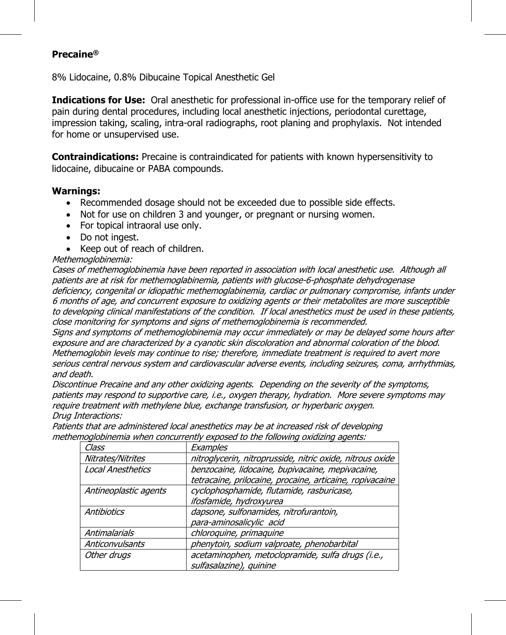## **Precaine®**

8% Lidocaine, 0.8% Dibucaine Topical Anesthetic Gel

**Indications for Use:** Oral anesthetic for professional in-office use for the temporary relief of pain during dental procedures, including local anesthetic injections, periodontal curettage, impression taking, scaling, intra-oral radiographs, root planing and prophylaxis. Not intended for home or unsupervised use.

**Contraindications:** Precaine is contraindicated for patients with known hypersensitivity to lidocaine, dibucaine or PABA compounds.

## **Warnings:**

- Recommended dosage should not be exceeded due to possible side effects.
- Not for use on children 3 and younger, or pregnant or nursing women.
- For topical intraoral use only.
- Do not ingest.
- Keep out of reach of children.

## Methemoglobinemia:

Cases of methemoglobinemia have been reported in association with local anesthetic use. Although all patients are at risk for methemoglabinemia, patients with glucose-6-phosphate dehydrogenase deficiency, congenital or idiopathic methemoglabinemia, cardiac or pulmonary compromise, infants under 6 months of age, and concurrent exposure to oxidizing agents or their metabolites are more susceptible to developing clinical manifestations of the condition. If local anesthetics must be used in these patients, close monitoring for symptoms and signs of methemoglobinemia is recommended.

Signs and symptoms of methemoglobinemia may occur immediately or may be delayed some hours after exposure and are characterized by a cyanotic skin discoloration and abnormal coloration of the blood. Methemoglobin levels may continue to rise; therefore, immediate treatment is required to avert more serious central nervous system and cardiovascular adverse events, including seizures, coma, arrhythmias, and death.

Discontinue Precaine and any other oxidizing agents. Depending on the severity of the symptoms, patients may respond to supportive care, i.e., oxygen therapy, hydration. More severe symptoms may require treatment with methylene blue, exchange transfusion, or hyperbaric oxygen. Drug Interactions:

| Class                    | Examples                                                  |
|--------------------------|-----------------------------------------------------------|
| Nitrates/Nitrites        | nitroglycerin, nitroprusside, nitric oxide, nitrous oxide |
| <b>Local Anesthetics</b> | benzocaine, lidocaine, bupivacaine, mepivacaine,          |
|                          | tetracaine, prilocaine, procaine, articaine, ropivacaine  |
| Antineoplastic agents    | cyclophosphamide, flutamide, rasburicase,                 |
|                          | ifosfamide, hydroxyurea                                   |
| Antibiotics              | dapsone, sulfonamides, nitrofurantoin,                    |
|                          | para-aminosalicylic acid                                  |
| Antimalarials            | chloroquine, primaquine                                   |
| Anticonvulsants          | phenytoin, sodium valproate, phenobarbital                |
| Other druas              | acetaminophen, metoclopramide, sulfa drugs (i.e.,         |
|                          | sulfasalazine), quinine                                   |

Patients that are administered local anesthetics may be at increased risk of developing methemoglobinemia when concurrently exposed to the following oxidizing agents: